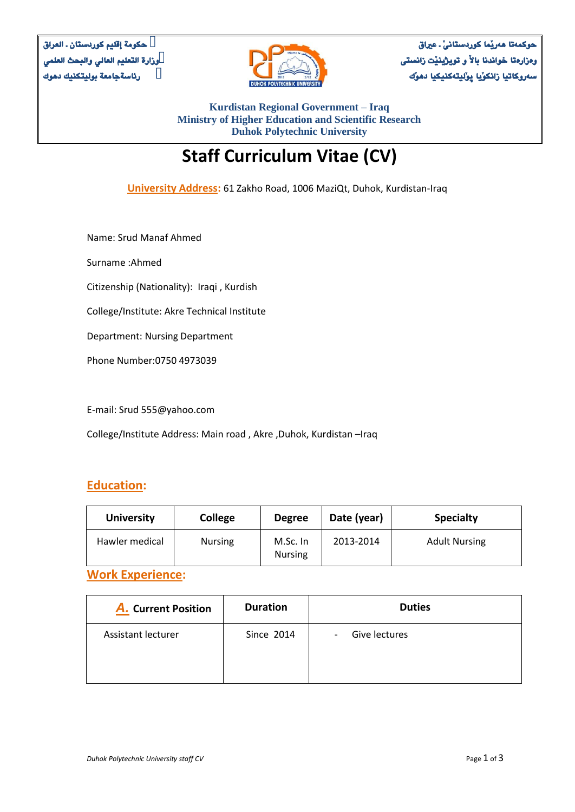

**حوكمةتا هةريَما كوردستانىَ ـ عرياق وةزارةتا خواندنا باالَ و تويذينيَت زانستى سةروكاتيا زانلوَيا ثوَليتةكنيليا دهوَك** 

**Kurdistan Regional Government – Iraq Ministry of Higher Education and Scientific Research Duhok Polytechnic University**

# **Staff Curriculum Vitae (CV)**

**University Address:** 61 Zakho Road, 1006 MaziQt, Duhok, Kurdistan-Iraq

Name: Srud Manaf Ahmed

Surname :Ahmed

Citizenship (Nationality): Iraqi , Kurdish

College/Institute: Akre Technical Institute

Department: Nursing Department

Phone Number:0750 4973039

E-mail: Srud 555@yahoo.com

College/Institute Address: Main road , Akre ,Duhok, Kurdistan –Iraq

#### **Education:**

| <b>University</b> | <b>College</b> | <b>Degree</b>              | Date (year) | <b>Specialty</b>     |
|-------------------|----------------|----------------------------|-------------|----------------------|
| Hawler medical    | <b>Nursing</b> | M.Sc. In<br><b>Nursing</b> | 2013-2014   | <b>Adult Nursing</b> |

**Work Experience:**

| <b>A.</b> Current Position | <b>Duration</b> | <b>Duties</b>                             |
|----------------------------|-----------------|-------------------------------------------|
| Assistant lecturer         | Since 2014      | Give lectures<br>$\overline{\phantom{a}}$ |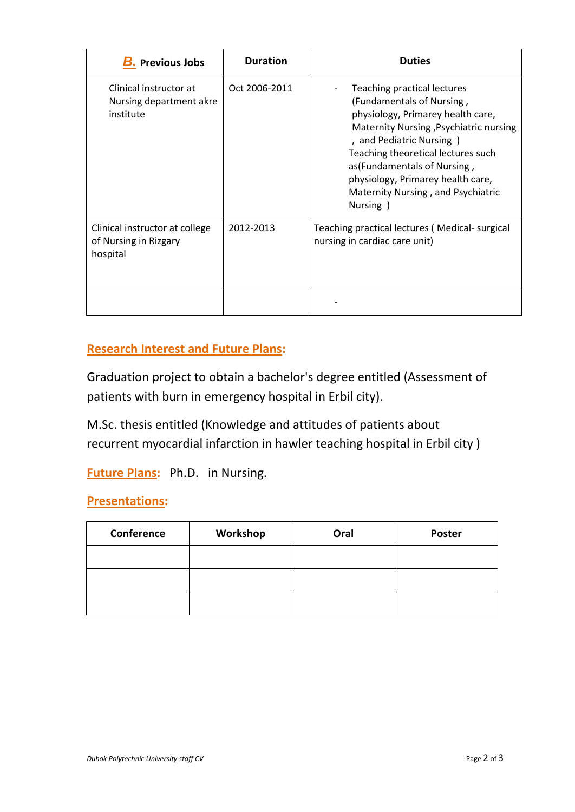| <b>B.</b> Previous Jobs                                                          | <b>Duration</b> | <b>Duties</b>                                                                                                                                                                                                                                                                                                                     |  |
|----------------------------------------------------------------------------------|-----------------|-----------------------------------------------------------------------------------------------------------------------------------------------------------------------------------------------------------------------------------------------------------------------------------------------------------------------------------|--|
| Clinical instructor at<br>Nursing department akre<br>institute                   | Oct 2006-2011   | Teaching practical lectures<br>(Fundamentals of Nursing,<br>physiology, Primarey health care,<br>Maternity Nursing , Psychiatric nursing<br>, and Pediatric Nursing)<br>Teaching theoretical lectures such<br>as (Fundamentals of Nursing,<br>physiology, Primarey health care,<br>Maternity Nursing, and Psychiatric<br>Nursing) |  |
| Clinical instructor at college<br>2012-2013<br>of Nursing in Rizgary<br>hospital |                 | Teaching practical lectures (Medical-surgical<br>nursing in cardiac care unit)                                                                                                                                                                                                                                                    |  |
|                                                                                  |                 |                                                                                                                                                                                                                                                                                                                                   |  |

## **Research Interest and Future Plans:**

Graduation project to obtain a bachelor's degree entitled (Assessment of patients with burn in emergency hospital in Erbil city).

M.Sc. thesis entitled (Knowledge and attitudes of patients about recurrent myocardial infarction in hawler teaching hospital in Erbil city )

**Future Plans:** Ph.D. in Nursing.

### **Presentations:**

| <b>Conference</b> | Workshop | Oral | <b>Poster</b> |
|-------------------|----------|------|---------------|
|                   |          |      |               |
|                   |          |      |               |
|                   |          |      |               |